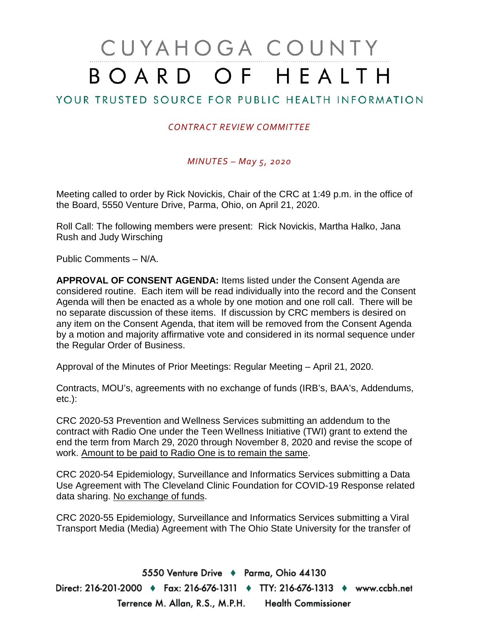# CUYAHOGA COUNTY BOARD OF HEALTH

# YOUR TRUSTED SOURCE FOR PUBLIC HEALTH INFORMATION

## *CONTRACT REVIEW COMMITTEE*

### *MINUTES – May 5, 2020*

Meeting called to order by Rick Novickis, Chair of the CRC at 1:49 p.m. in the office of the Board, 5550 Venture Drive, Parma, Ohio, on April 21, 2020.

Roll Call: The following members were present: Rick Novickis, Martha Halko, Jana Rush and Judy Wirsching

Public Comments – N/A.

**APPROVAL OF CONSENT AGENDA:** Items listed under the Consent Agenda are considered routine. Each item will be read individually into the record and the Consent Agenda will then be enacted as a whole by one motion and one roll call. There will be no separate discussion of these items. If discussion by CRC members is desired on any item on the Consent Agenda, that item will be removed from the Consent Agenda by a motion and majority affirmative vote and considered in its normal sequence under the Regular Order of Business.

Approval of the Minutes of Prior Meetings: Regular Meeting – April 21, 2020.

Contracts, MOU's, agreements with no exchange of funds (IRB's, BAA's, Addendums, etc.):

CRC 2020-53 Prevention and Wellness Services submitting an addendum to the contract with Radio One under the Teen Wellness Initiative (TWI) grant to extend the end the term from March 29, 2020 through November 8, 2020 and revise the scope of work. Amount to be paid to Radio One is to remain the same.

CRC 2020-54 Epidemiology, Surveillance and Informatics Services submitting a Data Use Agreement with The Cleveland Clinic Foundation for COVID-19 Response related data sharing. No exchange of funds.

CRC 2020-55 Epidemiology, Surveillance and Informatics Services submitting a Viral Transport Media (Media) Agreement with The Ohio State University for the transfer of

5550 Venture Drive + Parma, Ohio 44130 Direct: 216-201-2000 ♦ Fax: 216-676-1311 ♦ TTY: 216-676-1313 ♦ www.ccbh.net Terrence M. Allan, R.S., M.P.H. Health Commissioner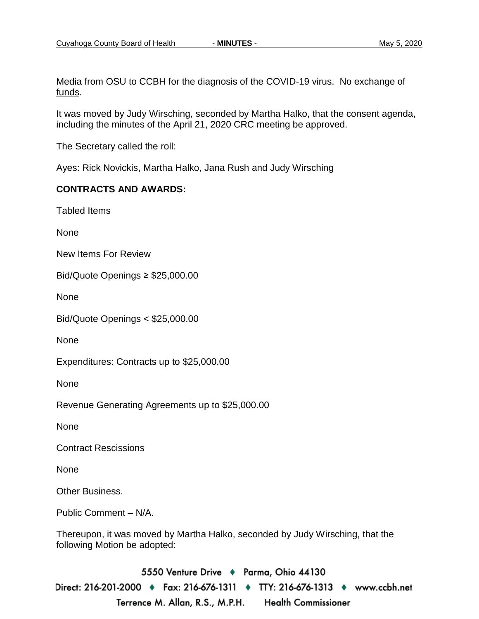Media from OSU to CCBH for the diagnosis of the COVID-19 virus. No exchange of funds.

It was moved by Judy Wirsching, seconded by Martha Halko, that the consent agenda, including the minutes of the April 21, 2020 CRC meeting be approved.

The Secretary called the roll:

Ayes: Rick Novickis, Martha Halko, Jana Rush and Judy Wirsching

### **CONTRACTS AND AWARDS:**

Tabled Items

None

New Items For Review

Bid/Quote Openings ≥ \$25,000.00

None

Bid/Quote Openings < \$25,000.00

None

Expenditures: Contracts up to \$25,000.00

None

Revenue Generating Agreements up to \$25,000.00

None

Contract Rescissions

None

Other Business.

Public Comment – N/A.

Thereupon, it was moved by Martha Halko, seconded by Judy Wirsching, that the following Motion be adopted:

5550 Venture Drive + Parma, Ohio 44130 Direct: 216-201-2000 ♦ Fax: 216-676-1311 ♦ TTY: 216-676-1313 ♦ www.ccbh.net Terrence M. Allan, R.S., M.P.H. **Health Commissioner**